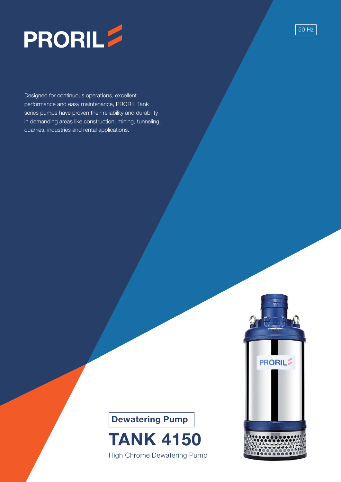

Designed for continuous operations, excellent performance and easy maintenance, PRORIL Tank series pumps have proven their reliability and durability in demanding areas like construction, mining, tunneling, quarries, industries and rental applications.





High Chrome Dewatering Pump